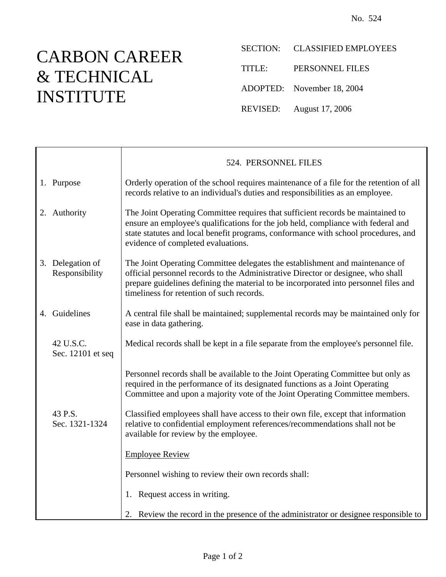## CARBON CAREER & TECHNICAL INSTITUTE

 $\mathsf{r}$ 

SECTION: CLASSIFIED EMPLOYEES

TITLE: PERSONNEL FILES

ADOPTED: November 18, 2004

REVISED: August 17, 2006

|                                    | 524. PERSONNEL FILES                                                                                                                                                                                                                                                                                  |
|------------------------------------|-------------------------------------------------------------------------------------------------------------------------------------------------------------------------------------------------------------------------------------------------------------------------------------------------------|
| 1. Purpose                         | Orderly operation of the school requires maintenance of a file for the retention of all<br>records relative to an individual's duties and responsibilities as an employee.                                                                                                                            |
| 2. Authority                       | The Joint Operating Committee requires that sufficient records be maintained to<br>ensure an employee's qualifications for the job held, compliance with federal and<br>state statutes and local benefit programs, conformance with school procedures, and<br>evidence of completed evaluations.      |
| 3. Delegation of<br>Responsibility | The Joint Operating Committee delegates the establishment and maintenance of<br>official personnel records to the Administrative Director or designee, who shall<br>prepare guidelines defining the material to be incorporated into personnel files and<br>timeliness for retention of such records. |
| 4. Guidelines                      | A central file shall be maintained; supplemental records may be maintained only for<br>ease in data gathering.                                                                                                                                                                                        |
| 42 U.S.C.<br>Sec. 12101 et seq     | Medical records shall be kept in a file separate from the employee's personnel file.                                                                                                                                                                                                                  |
|                                    | Personnel records shall be available to the Joint Operating Committee but only as<br>required in the performance of its designated functions as a Joint Operating<br>Committee and upon a majority vote of the Joint Operating Committee members.                                                     |
| 43 P.S.<br>Sec. 1321-1324          | Classified employees shall have access to their own file, except that information<br>relative to confidential employment references/recommendations shall not be<br>available for review by the employee.                                                                                             |
|                                    | <b>Employee Review</b>                                                                                                                                                                                                                                                                                |
|                                    | Personnel wishing to review their own records shall:                                                                                                                                                                                                                                                  |
|                                    | 1. Request access in writing.                                                                                                                                                                                                                                                                         |
|                                    | 2. Review the record in the presence of the administrator or designee responsible to                                                                                                                                                                                                                  |